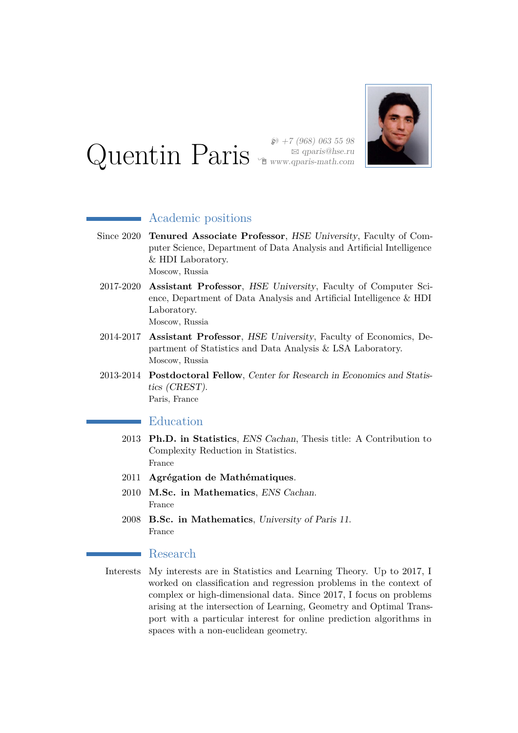# Quentin Paris

 $$+7$  (968) 063 55 98



## Academic positions

- Since 2020 **Tenured Associate Professor**, HSE University, Faculty of Computer Science, Department of Data Analysis and Artificial Intelligence & HDI Laboratory. Moscow, Russia
- 2017-2020 **Assistant Professor**, HSE University, Faculty of Computer Science, Department of Data Analysis and Artificial Intelligence & HDI Laboratory. Moscow, Russia
- 2014-2017 **Assistant Professor**, HSE University, Faculty of Economics, Department of Statistics and Data Analysis & LSA Laboratory. Moscow, Russia
- 2013-2014 **Postdoctoral Fellow**, Center for Research in Economics and Statistics (CREST). Paris, France

## Education

- 2013 **Ph.D. in Statistics**, ENS Cachan, Thesis title: A Contribution to Complexity Reduction in Statistics. France
- 2011 **Agrégation de Mathématiques**.
- 2010 **M.Sc. in Mathematics**, ENS Cachan. France
- 2008 **B.Sc. in Mathematics**, University of Paris 11. France

#### Research

Interests My interests are in Statistics and Learning Theory. Up to 2017, I worked on classification and regression problems in the context of complex or high-dimensional data. Since 2017, I focus on problems arising at the intersection of Learning, Geometry and Optimal Transport with a particular interest for online prediction algorithms in spaces with a non-euclidean geometry.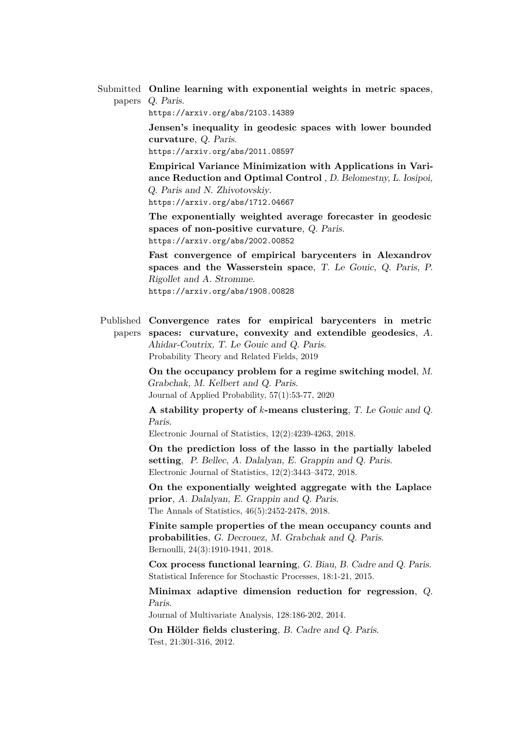Submitted **Online learning with exponential weights in metric spaces**, papers Q. Paris.

<https://arxiv.org/abs/2103.14389>

**Jensen's inequality in geodesic spaces with lower bounded curvature**, Q. Paris.

<https://arxiv.org/abs/2011.08597>

**Empirical Variance Minimization with Applications in Variance Reduction and Optimal Control** , D. Belomestny, L. Iosipoi, Q. Paris and N. Zhivotovskiy. <https://arxiv.org/abs/1712.04667>

**The exponentially weighted average forecaster in geodesic spaces of non-positive curvature**, Q. Paris. <https://arxiv.org/abs/2002.00852>

**Fast convergence of empirical barycenters in Alexandrov spaces and the Wasserstein space**, T. Le Gouic, Q. Paris, P. Rigollet and A. Stromme. <https://arxiv.org/abs/1908.00828>

Published **Convergence rates for empirical barycenters in metric** papers **spaces: curvature, convexity and extendible geodesics**, A. Ahidar-Coutrix, T. Le Gouic and Q. Paris. Probability Theory and Related Fields, 2019

> **On the occupancy problem for a regime switching model**, M. Grabchak, M. Kelbert and Q. Paris. Journal of Applied Probability, 57(1):53-77, 2020

> **A stability property of** *k***-means clustering**, T. Le Gouic and Q. Paris.

Electronic Journal of Statistics, 12(2):4239-4263, 2018.

**On the prediction loss of the lasso in the partially labeled setting**, P. Bellec, A. Dalalyan, E. Grappin and Q. Paris. Electronic Journal of Statistics, 12(2):3443–3472, 2018.

**On the exponentially weighted aggregate with the Laplace prior**, A. Dalalyan, E. Grappin and Q. Paris. The Annals of Statistics, 46(5):2452-2478, 2018.

**Finite sample properties of the mean occupancy counts and probabilities**, G. Decrouez, M. Grabchak and Q. Paris. Bernoulli, 24(3):1910-1941, 2018.

**Cox process functional learning**, G. Biau, B. Cadre and Q. Paris. Statistical Inference for Stochastic Processes, 18:1-21, 2015.

**Minimax adaptive dimension reduction for regression**, Q. Paris.

Journal of Multivariate Analysis, 128:186-202, 2014.

**On Hölder fields clustering**, B. Cadre and Q. Paris. Test, 21:301-316, 2012.